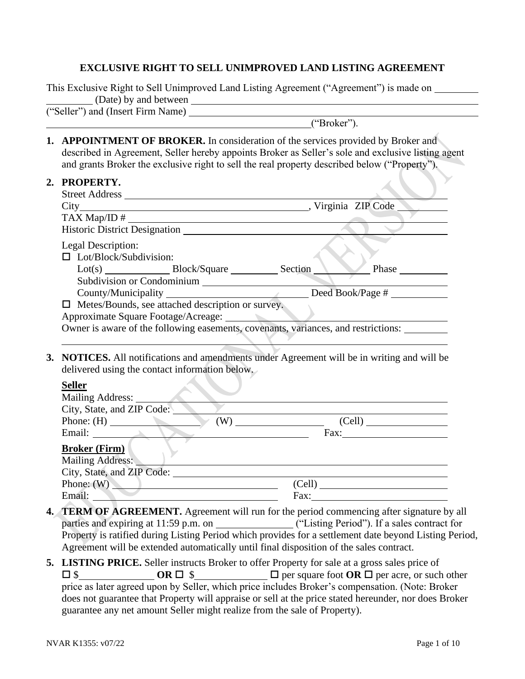#### **EXCLUSIVE RIGHT TO SELL UNIMPROVED LAND LISTING AGREEMENT**

This Exclusive Right to Sell Unimproved Land Listing Agreement ("Agreement") is made on (Date) by and between ("Seller") and (Insert Firm Name)

**2. PROPERTY.**

("Broker").

**1. APPOINTMENT OF BROKER.** In consideration of the services provided by Broker and described in Agreement, Seller hereby appoints Broker as Seller's sole and exclusive listing agent and grants Broker the exclusive right to sell the real property described below ("Property").

|  | I NUI EN LL.                                                                                                                                                                                                                   |                                                                                    |  |  |  |  |
|--|--------------------------------------------------------------------------------------------------------------------------------------------------------------------------------------------------------------------------------|------------------------------------------------------------------------------------|--|--|--|--|
|  |                                                                                                                                                                                                                                |                                                                                    |  |  |  |  |
|  |                                                                                                                                                                                                                                |                                                                                    |  |  |  |  |
|  | $\text{TAX Map} \setminus \text{ID} \#$                                                                                                                                                                                        |                                                                                    |  |  |  |  |
|  |                                                                                                                                                                                                                                |                                                                                    |  |  |  |  |
|  | Legal Description:                                                                                                                                                                                                             |                                                                                    |  |  |  |  |
|  | $\Box$ Lot/Block/Subdivision:                                                                                                                                                                                                  |                                                                                    |  |  |  |  |
|  |                                                                                                                                                                                                                                |                                                                                    |  |  |  |  |
|  |                                                                                                                                                                                                                                |                                                                                    |  |  |  |  |
|  |                                                                                                                                                                                                                                |                                                                                    |  |  |  |  |
|  | $\Box$ Metes/Bounds, see attached description or survey.                                                                                                                                                                       |                                                                                    |  |  |  |  |
|  | Approximate Square Footage/Acreage:                                                                                                                                                                                            |                                                                                    |  |  |  |  |
|  |                                                                                                                                                                                                                                | Owner is aware of the following easements, covenants, variances, and restrictions: |  |  |  |  |
|  |                                                                                                                                                                                                                                |                                                                                    |  |  |  |  |
|  |                                                                                                                                                                                                                                |                                                                                    |  |  |  |  |
|  | 3. NOTICES. All notifications and amendments under Agreement will be in writing and will be                                                                                                                                    |                                                                                    |  |  |  |  |
|  | delivered using the contact information below.                                                                                                                                                                                 |                                                                                    |  |  |  |  |
|  | <b>Seller</b>                                                                                                                                                                                                                  |                                                                                    |  |  |  |  |
|  |                                                                                                                                                                                                                                | Mailing Address:                                                                   |  |  |  |  |
|  | City, State, and ZIP Code:                                                                                                                                                                                                     |                                                                                    |  |  |  |  |
|  |                                                                                                                                                                                                                                | Phone: (H) $(W)$ (W) (Cell)                                                        |  |  |  |  |
|  |                                                                                                                                                                                                                                | Email: Fax: Fax:                                                                   |  |  |  |  |
|  | <b>Broker (Firm)</b>                                                                                                                                                                                                           |                                                                                    |  |  |  |  |
|  | Mailing Address: New York and Separate and Separate and Separate and Separate and Separate and Separate and Separate and Separate and Separate and Separate and Separate and Separate and Separate and Separate and Separate a |                                                                                    |  |  |  |  |
|  |                                                                                                                                                                                                                                |                                                                                    |  |  |  |  |
|  | Phone: $(W)$                                                                                                                                                                                                                   | (Cell)                                                                             |  |  |  |  |
|  |                                                                                                                                                                                                                                |                                                                                    |  |  |  |  |

**4. TERM OF AGREEMENT.** Agreement will run for the period commencing after signature by all parties and expiring at 11:59 p.m. on ("Listing Period"). If a sales contract for Property is ratified during Listing Period which provides for a settlement date beyond Listing Period, Agreement will be extended automatically until final disposition of the sales contract.

Email: Fax: Fax:

**5. LISTING PRICE.** Seller instructs Broker to offer Property for sale at a gross sales price of **OR** □ \$ **OR** □ \$ **D** per square foot **OR** □ per acre, or such other price as later agreed upon by Seller, which price includes Broker's compensation. (Note: Broker does not guarantee that Property will appraise or sell at the price stated hereunder, nor does Broker guarantee any net amount Seller might realize from the sale of Property).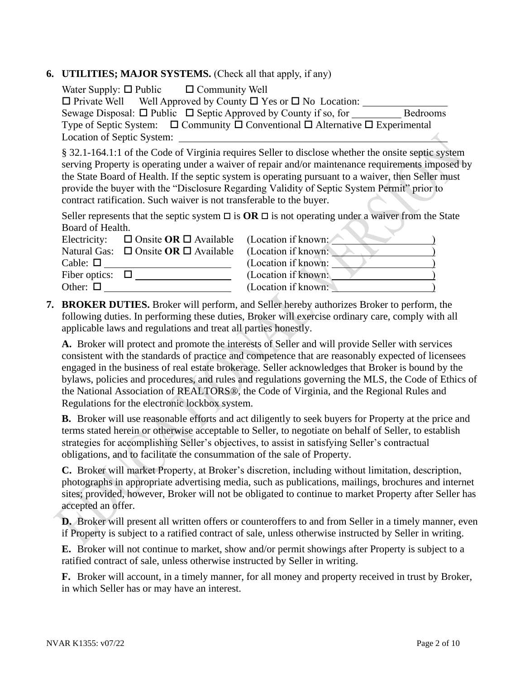#### **6. UTILITIES; MAJOR SYSTEMS.** (Check all that apply, if any)

Water Supply:  $\Box$  Public  $\Box$  Community Well  $\Box$  Private Well Well Approved by County  $\Box$  Yes or  $\Box$  No Location: Sewage Disposal:  $\Box$  Public  $\Box$  Septic Approved by County if so, for Bedrooms Type of Septic System:  $\Box$  Community  $\Box$  Conventional  $\Box$  Alternative  $\Box$  Experimental Location of Septic System:

§ 32.1-164.1:1 of the Code of Virginia requires Seller to disclose whether the onsite septic system serving Property is operating under a waiver of repair and/or maintenance requirements imposed by the State Board of Health. If the septic system is operating pursuant to a waiver, then Seller must provide the buyer with the "Disclosure Regarding Validity of Septic System Permit" prior to contract ratification. Such waiver is not transferable to the buyer.

Seller represents that the septic system  $\Box$  is  $OR \Box$  is not operating under a waiver from the State Board of Health.  $\mathcal{L}_{\mathcal{L}}$ 

|                      | Electricity: $\Box$ Onsite OR $\Box$ Available (Location if known: |                     |  |
|----------------------|--------------------------------------------------------------------|---------------------|--|
|                      | Natural Gas: $\Box$ Onsite <b>OR</b> $\Box$ Available              | (Location if known: |  |
| Cable: $\Box$        |                                                                    | (Location if known: |  |
| Fiber optics: $\Box$ |                                                                    | (Location if known: |  |
| Other: $\Box$        |                                                                    | (Location if known: |  |

**7. BROKER DUTIES.** Broker will perform, and Seller hereby authorizes Broker to perform, the following duties. In performing these duties, Broker will exercise ordinary care, comply with all applicable laws and regulations and treat all parties honestly.

**A.** Broker will protect and promote the interests of Seller and will provide Seller with services consistent with the standards of practice and competence that are reasonably expected of licensees engaged in the business of real estate brokerage. Seller acknowledges that Broker is bound by the bylaws, policies and procedures, and rules and regulations governing the MLS, the Code of Ethics of the National Association of REALTORS®, the Code of Virginia, and the Regional Rules and Regulations for the electronic lockbox system.

**B.** Broker will use reasonable efforts and act diligently to seek buyers for Property at the price and terms stated herein or otherwise acceptable to Seller, to negotiate on behalf of Seller, to establish strategies for accomplishing Seller's objectives, to assist in satisfying Seller's contractual obligations, and to facilitate the consummation of the sale of Property.

**C.** Broker will market Property, at Broker's discretion, including without limitation, description, photographs in appropriate advertising media, such as publications, mailings, brochures and internet sites; provided, however, Broker will not be obligated to continue to market Property after Seller has accepted an offer.

**D.** Broker will present all written offers or counteroffers to and from Seller in a timely manner, even if Property is subject to a ratified contract of sale, unless otherwise instructed by Seller in writing.

**E.** Broker will not continue to market, show and/or permit showings after Property is subject to a ratified contract of sale, unless otherwise instructed by Seller in writing.

**F.** Broker will account, in a timely manner, for all money and property received in trust by Broker, in which Seller has or may have an interest.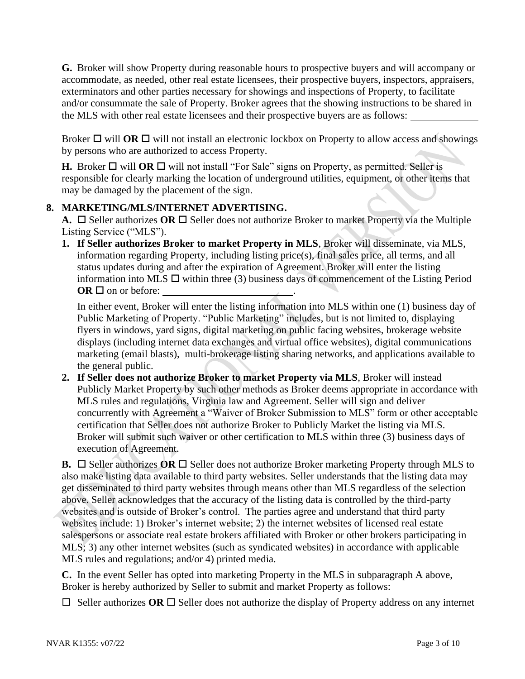**G.** Broker will show Property during reasonable hours to prospective buyers and will accompany or accommodate, as needed, other real estate licensees, their prospective buyers, inspectors, appraisers, exterminators and other parties necessary for showings and inspections of Property, to facilitate and/or consummate the sale of Property. Broker agrees that the showing instructions to be shared in the MLS with other real estate licensees and their prospective buyers are as follows:

Broker  $\Box$  will **OR**  $\Box$  will not install an electronic lockbox on Property to allow access and showings by persons who are authorized to access Property.

**H.** Broker  $\Box$  will **OR**  $\Box$  will not install "For Sale" signs on Property, as permitted. Seller is responsible for clearly marking the location of underground utilities, equipment, or other items that may be damaged by the placement of the sign.

## **8. MARKETING/MLS/INTERNET ADVERTISING.**

**A.**  $\Box$  Seller authorizes **OR**  $\Box$  Seller does not authorize Broker to market Property via the Multiple Listing Service ("MLS").

**1. If Seller authorizes Broker to market Property in MLS**, Broker will disseminate, via MLS, information regarding Property, including listing price(s), final sales price, all terms, and all status updates during and after the expiration of Agreement. Broker will enter the listing information into MLS  $\Box$  within three (3) business days of commencement of the Listing Period  $OR \square$  on or before:

In either event, Broker will enter the listing information into MLS within one (1) business day of Public Marketing of Property. "Public Marketing" includes, but is not limited to, displaying flyers in windows, yard signs, digital marketing on public facing websites, brokerage website displays (including internet data exchanges and virtual office websites), digital communications marketing (email blasts), multi-brokerage listing sharing networks, and applications available to the general public.

**2. If Seller does not authorize Broker to market Property via MLS**, Broker will instead Publicly Market Property by such other methods as Broker deems appropriate in accordance with MLS rules and regulations, Virginia law and Agreement. Seller will sign and deliver concurrently with Agreement a "Waiver of Broker Submission to MLS" form or other acceptable certification that Seller does not authorize Broker to Publicly Market the listing via MLS. Broker will submit such waiver or other certification to MLS within three (3) business days of execution of Agreement.

**B.**  $\Box$  Seller authorizes OR  $\Box$  Seller does not authorize Broker marketing Property through MLS to also make listing data available to third party websites. Seller understands that the listing data may get disseminated to third party websites through means other than MLS regardless of the selection above. Seller acknowledges that the accuracy of the listing data is controlled by the third-party websites and is outside of Broker's control. The parties agree and understand that third party websites include: 1) Broker's internet website; 2) the internet websites of licensed real estate salespersons or associate real estate brokers affiliated with Broker or other brokers participating in MLS; 3) any other internet websites (such as syndicated websites) in accordance with applicable MLS rules and regulations; and/or 4) printed media.

**C.** In the event Seller has opted into marketing Property in the MLS in subparagraph A above, Broker is hereby authorized by Seller to submit and market Property as follows:

 $\Box$  Seller authorizes OR  $\Box$  Seller does not authorize the display of Property address on any internet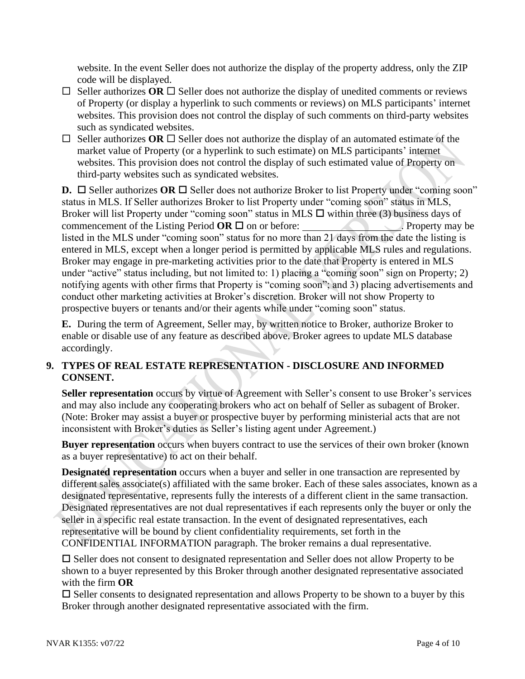website. In the event Seller does not authorize the display of the property address, only the ZIP code will be displayed.

- $\Box$  Seller authorizes OR  $\Box$  Seller does not authorize the display of unedited comments or reviews of Property (or display a hyperlink to such comments or reviews) on MLS participants' internet websites. This provision does not control the display of such comments on third-party websites such as syndicated websites.
- $\Box$  Seller authorizes **OR**  $\Box$  Seller does not authorize the display of an automated estimate of the market value of Property (or a hyperlink to such estimate) on MLS participants' internet websites. This provision does not control the display of such estimated value of Property on third-party websites such as syndicated websites.

**D.**  $\Box$  Seller authorizes **OR**  $\Box$  Seller does not authorize Broker to list Property under "coming soon" status in MLS. If Seller authorizes Broker to list Property under "coming soon" status in MLS, Broker will list Property under "coming soon" status in MLS  $\Box$  within three (3) business days of commencement of the Listing Period  $OR \Box$  on or before: . Property may be listed in the MLS under "coming soon" status for no more than 21 days from the date the listing is entered in MLS, except when a longer period is permitted by applicable MLS rules and regulations. Broker may engage in pre-marketing activities prior to the date that Property is entered in MLS under "active" status including, but not limited to: 1) placing a "coming soon" sign on Property; 2) notifying agents with other firms that Property is "coming soon"; and 3) placing advertisements and conduct other marketing activities at Broker's discretion. Broker will not show Property to prospective buyers or tenants and/or their agents while under "coming soon" status.

**E.** During the term of Agreement, Seller may, by written notice to Broker, authorize Broker to enable or disable use of any feature as described above. Broker agrees to update MLS database accordingly.

# **9. TYPES OF REAL ESTATE REPRESENTATION - DISCLOSURE AND INFORMED CONSENT.**

**Seller representation** occurs by virtue of Agreement with Seller's consent to use Broker's services and may also include any cooperating brokers who act on behalf of Seller as subagent of Broker. (Note: Broker may assist a buyer or prospective buyer by performing ministerial acts that are not inconsistent with Broker's duties as Seller's listing agent under Agreement.)

**Buyer representation** occurs when buyers contract to use the services of their own broker (known as a buyer representative) to act on their behalf.

**Designated representation** occurs when a buyer and seller in one transaction are represented by different sales associate(s) affiliated with the same broker. Each of these sales associates, known as a designated representative, represents fully the interests of a different client in the same transaction. Designated representatives are not dual representatives if each represents only the buyer or only the seller in a specific real estate transaction. In the event of designated representatives, each representative will be bound by client confidentiality requirements, set forth in the CONFIDENTIAL INFORMATION paragraph. The broker remains a dual representative.

 $\square$  Seller does not consent to designated representation and Seller does not allow Property to be shown to a buyer represented by this Broker through another designated representative associated with the firm **OR**

 $\square$  Seller consents to designated representation and allows Property to be shown to a buyer by this Broker through another designated representative associated with the firm.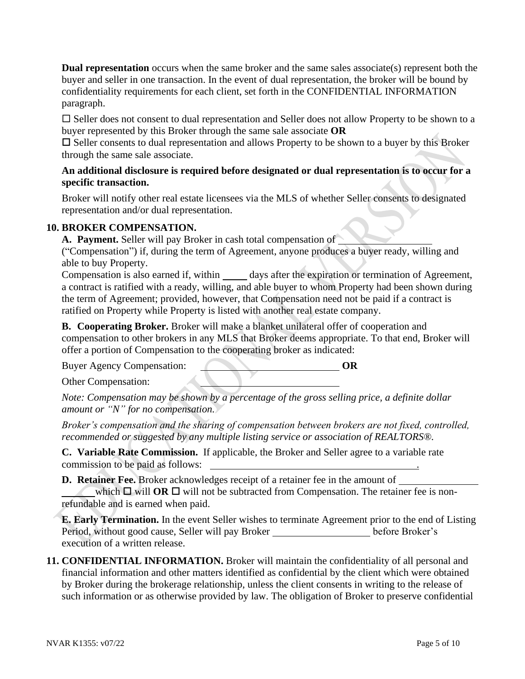**Dual representation** occurs when the same broker and the same sales associate(s) represent both the buyer and seller in one transaction. In the event of dual representation, the broker will be bound by confidentiality requirements for each client, set forth in the CONFIDENTIAL INFORMATION paragraph.

 $\square$  Seller does not consent to dual representation and Seller does not allow Property to be shown to a buyer represented by this Broker through the same sale associate **OR**

 $\square$  Seller consents to dual representation and allows Property to be shown to a buyer by this Broker through the same sale associate.

#### **An additional disclosure is required before designated or dual representation is to occur for a specific transaction.**

Broker will notify other real estate licensees via the MLS of whether Seller consents to designated representation and/or dual representation.

## **10. BROKER COMPENSATION.**

**A. Payment.** Seller will pay Broker in cash total compensation of

("Compensation") if, during the term of Agreement, anyone produces a buyer ready, willing and able to buy Property.

Compensation is also earned if, within \_\_\_\_\_\_ days after the expiration or termination of Agreement, a contract is ratified with a ready, willing, and able buyer to whom Property had been shown during the term of Agreement; provided, however, that Compensation need not be paid if a contract is ratified on Property while Property is listed with another real estate company.

**B. Cooperating Broker.** Broker will make a blanket unilateral offer of cooperation and compensation to other brokers in any MLS that Broker deems appropriate. To that end, Broker will offer a portion of Compensation to the cooperating broker as indicated:

Buyer Agency Compensation: **OR** 

Other Compensation:

*Note: Compensation may be shown by a percentage of the gross selling price, a definite dollar amount or "N" for no compensation.*

*Broker's compensation and the sharing of compensation between brokers are not fixed, controlled, recommended or suggested by any multiple listing service or association of REALTORS®.*

**C. Variable Rate Commission.** If applicable, the Broker and Seller agree to a variable rate commission to be paid as follows: .

**D. Retainer Fee.** Broker acknowledges receipt of a retainer fee in the amount of which  $\Box$  will **OR**  $\Box$  will not be subtracted from Compensation. The retainer fee is nonrefundable and is earned when paid.

**E. Early Termination.** In the event Seller wishes to terminate Agreement prior to the end of Listing Period, without good cause, Seller will pay Broker **before Broker's** execution of a written release.

**11. CONFIDENTIAL INFORMATION.** Broker will maintain the confidentiality of all personal and financial information and other matters identified as confidential by the client which were obtained by Broker during the brokerage relationship, unless the client consents in writing to the release of such information or as otherwise provided by law. The obligation of Broker to preserve confidential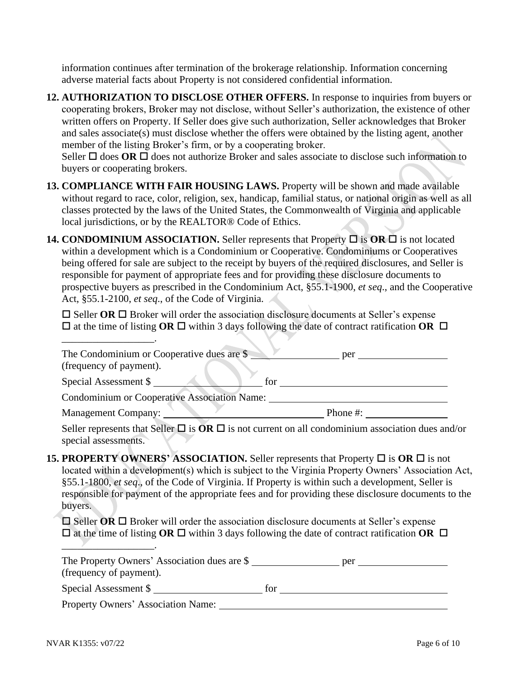information continues after termination of the brokerage relationship. Information concerning adverse material facts about Property is not considered confidential information.

**12. AUTHORIZATION TO DISCLOSE OTHER OFFERS.** In response to inquiries from buyers or cooperating brokers, Broker may not disclose, without Seller's authorization, the existence of other written offers on Property. If Seller does give such authorization, Seller acknowledges that Broker and sales associate(s) must disclose whether the offers were obtained by the listing agent, another member of the listing Broker's firm, or by a cooperating broker.

Seller  $\Box$  does **OR**  $\Box$  does not authorize Broker and sales associate to disclose such information to buyers or cooperating brokers.

- **13. COMPLIANCE WITH FAIR HOUSING LAWS.** Property will be shown and made available without regard to race, color, religion, sex, handicap, familial status, or national origin as well as all classes protected by the laws of the United States, the Commonwealth of Virginia and applicable local jurisdictions, or by the REALTOR® Code of Ethics.
- **14. CONDOMINIUM ASSOCIATION.** Seller represents that Property  $\Box$  is **OR**  $\Box$  is not located within a development which is a Condominium or Cooperative. Condominiums or Cooperatives being offered for sale are subject to the receipt by buyers of the required disclosures, and Seller is responsible for payment of appropriate fees and for providing these disclosure documents to prospective buyers as prescribed in the Condominium Act, §55.1-1900, *et seq*., and the Cooperative Act, §55.1-2100, *et seq*., of the Code of Virginia.

 $\square$  Seller **OR**  $\square$  Broker will order the association disclosure documents at Seller's expense  $\Box$  at the time of listing **OR**  $\Box$  within 3 days following the date of contract ratification **OR**  $\Box$ 

| The Condominium or Cooperative dues are \$<br>(frequency of payment). | per      |
|-----------------------------------------------------------------------|----------|
| Special Assessment \$<br>for                                          |          |
| <b>Condominium or Cooperative Association Name:</b>                   |          |
| <b>Management Company:</b>                                            | Phone #: |

Seller represents that Seller  $\Box$  is  $\overline{OR}$   $\Box$  is not current on all condominium association dues and/or special assessments.

**15. PROPERTY OWNERS' ASSOCIATION.** Seller represents that Property  $\Box$  is  $\overline{OR}$   $\Box$  is not located within a development(s) which is subject to the Virginia Property Owners' Association Act, §55.1-1800, *et seq*., of the Code of Virginia. If Property is within such a development, Seller is responsible for payment of the appropriate fees and for providing these disclosure documents to the buyers.

 $\Box$  Seller **OR**  $\Box$  Broker will order the association disclosure documents at Seller's expense  $\Box$  at the time of listing **OR**  $\Box$  within 3 days following the date of contract ratification **OR**  $\Box$ 

| The Property Owners' Association dues are \$ |     | per |
|----------------------------------------------|-----|-----|
| (frequency of payment).                      |     |     |
| Special Assessment \$                        | tor |     |

Property Owners' Association Name:

\_\_\_\_\_\_\_\_\_\_\_\_\_\_\_\_\_\_.

 $\overline{\phantom{a}}$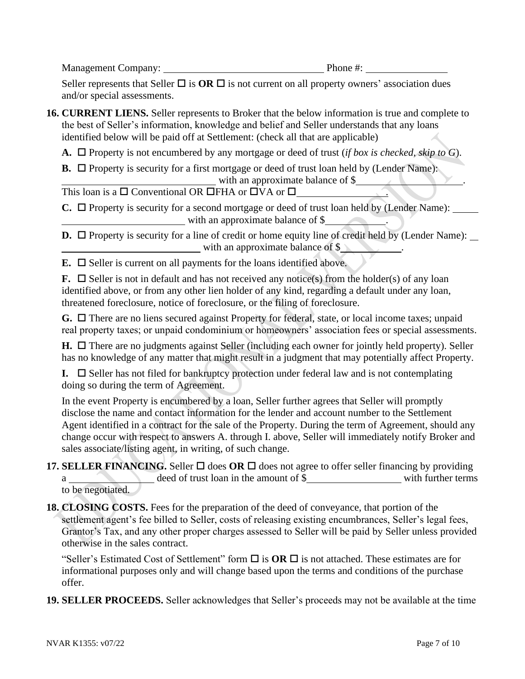Management Company: Phone #:

Seller represents that Seller  $\Box$  is  $OR \Box$  is not current on all property owners' association dues and/or special assessments.

**16. CURRENT LIENS.** Seller represents to Broker that the below information is true and complete to the best of Seller's information, knowledge and belief and Seller understands that any loans identified below will be paid off at Settlement: (check all that are applicable)

**A.**  $\Box$  Property is not encumbered by any mortgage or deed of trust (*if box is checked, skip to G*).

**B.**  $\Box$  Property is security for a first mortgage or deed of trust loan held by (Lender Name): with an approximate balance of \$

This loan is a  $\square$  Conventional OR  $\square$ FHA or  $\square$ VA or  $\square$ 

 $\mathbf{C}$ .  $\Box$  Property is security for a second mortgage or deed of trust loan held by (Lender Name): with an approximate balance of \$

**D.**  $\Box$  Property is security for a line of credit or home equity line of credit held by (Lender Name):  $\Box$ with an approximate balance of \$

 $\mathbf{E}$ .  $\Box$  Seller is current on all payments for the loans identified above.

**F.**  $\Box$  Seller is not in default and has not received any notice(s) from the holder(s) of any loan identified above, or from any other lien holder of any kind, regarding a default under any loan, threatened foreclosure, notice of foreclosure, or the filing of foreclosure.

G. □ There are no liens secured against Property for federal, state, or local income taxes; unpaid real property taxes; or unpaid condominium or homeowners' association fees or special assessments.

 $H. \Box$  There are no judgments against Seller (including each owner for jointly held property). Seller has no knowledge of any matter that might result in a judgment that may potentially affect Property.

**I.**  $\Box$  Seller has not filed for bankruptcy protection under federal law and is not contemplating doing so during the term of Agreement.

In the event Property is encumbered by a loan, Seller further agrees that Seller will promptly disclose the name and contact information for the lender and account number to the Settlement Agent identified in a contract for the sale of the Property. During the term of Agreement, should any change occur with respect to answers A. through I. above, Seller will immediately notify Broker and sales associate/listing agent, in writing, of such change.

- **17. SELLER FINANCING.** Seller  $\Box$  does OR  $\Box$  does not agree to offer seller financing by providing a deed of trust loan in the amount of \$ with further terms to be negotiated.
- **18. CLOSING COSTS.** Fees for the preparation of the deed of conveyance, that portion of the settlement agent's fee billed to Seller, costs of releasing existing encumbrances, Seller's legal fees, Grantor's Tax, and any other proper charges assessed to Seller will be paid by Seller unless provided otherwise in the sales contract.

"Seller's Estimated Cost of Settlement" form  $\Box$  is **OR**  $\Box$  is not attached. These estimates are for informational purposes only and will change based upon the terms and conditions of the purchase offer.

**19. SELLER PROCEEDS.** Seller acknowledges that Seller's proceeds may not be available at the time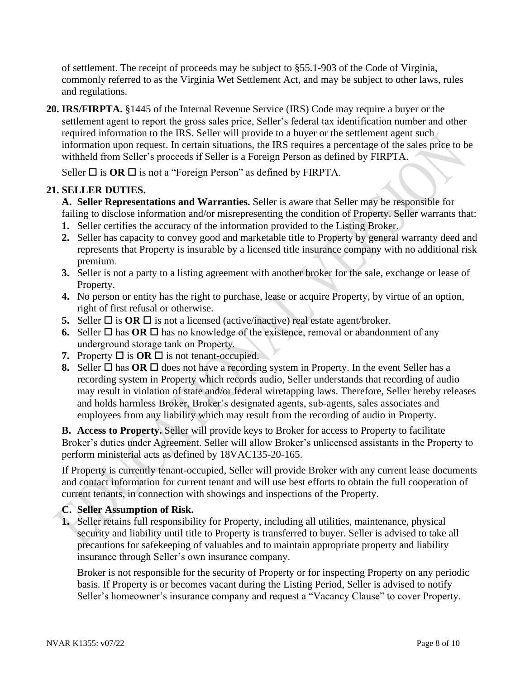of settlement. The receipt of proceeds may be subject to §55.1-903 of the Code of Virginia, commonly referred to as the Virginia Wet Settlement Act, and may be subject to other laws, rules and regulations.

**20. IRS/FIRPTA.** §1445 of the Internal Revenue Service (IRS) Code may require a buyer or the settlement agent to report the gross sales price, Seller's federal tax identification number and other required information to the IRS. Seller will provide to a buyer or the settlement agent such information upon request. In certain situations, the IRS requires a percentage of the sales price to be withheld from Seller's proceeds if Seller is a Foreign Person as defined by FIRPTA.

Seller  $\Box$  is **OR**  $\Box$  is not a "Foreign Person" as defined by FIRPTA.

# **21. SELLER DUTIES.**

**A. Seller Representations and Warranties.** Seller is aware that Seller may be responsible for failing to disclose information and/or misrepresenting the condition of Property. Seller warrants that:

- **1.** Seller certifies the accuracy of the information provided to the Listing Broker.
- **2.** Seller has capacity to convey good and marketable title to Property by general warranty deed and represents that Property is insurable by a licensed title insurance company with no additional risk premium.
- **3.** Seller is not a party to a listing agreement with another broker for the sale, exchange or lease of Property.
- **4.** No person or entity has the right to purchase, lease or acquire Property, by virtue of an option, right of first refusal or otherwise.
- **5.** Seller  $\Box$  is **OR**  $\Box$  is not a licensed (active/inactive) real estate agent/broker.
- **6.** Seller  $\Box$  has **OR**  $\Box$  has no knowledge of the existence, removal or abandonment of any underground storage tank on Property.
- **7.** Property  $\Box$  is  $\overline{OR}$   $\Box$  is not tenant-occupied.
- **8.** Seller  $\Box$  has  $\overline{OR}$   $\Box$  does not have a recording system in Property. In the event Seller has a recording system in Property which records audio, Seller understands that recording of audio may result in violation of state and/or federal wiretapping laws. Therefore, Seller hereby releases and holds harmless Broker, Broker's designated agents, sub-agents, sales associates and employees from any liability which may result from the recording of audio in Property.

**B. Access to Property.** Seller will provide keys to Broker for access to Property to facilitate Broker's duties under Agreement. Seller will allow Broker's unlicensed assistants in the Property to perform ministerial acts as defined by 18VAC135-20-165.

If Property is currently tenant-occupied, Seller will provide Broker with any current lease documents and contact information for current tenant and will use best efforts to obtain the full cooperation of current tenants, in connection with showings and inspections of the Property.

## **C. Seller Assumption of Risk.**

**1.** Seller retains full responsibility for Property, including all utilities, maintenance, physical security and liability until title to Property is transferred to buyer. Seller is advised to take all precautions for safekeeping of valuables and to maintain appropriate property and liability insurance through Seller's own insurance company.

Broker is not responsible for the security of Property or for inspecting Property on any periodic basis. If Property is or becomes vacant during the Listing Period, Seller is advised to notify Seller's homeowner's insurance company and request a "Vacancy Clause" to cover Property.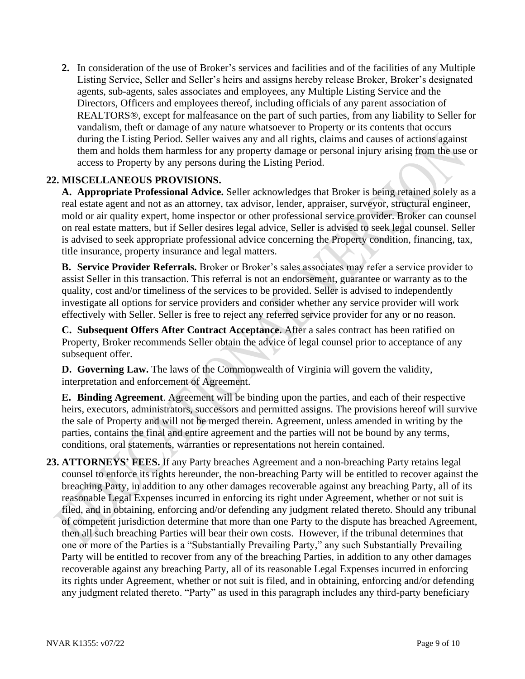**2.** In consideration of the use of Broker's services and facilities and of the facilities of any Multiple Listing Service, Seller and Seller's heirs and assigns hereby release Broker, Broker's designated agents, sub-agents, sales associates and employees, any Multiple Listing Service and the Directors, Officers and employees thereof, including officials of any parent association of REALTORS®, except for malfeasance on the part of such parties, from any liability to Seller for vandalism, theft or damage of any nature whatsoever to Property or its contents that occurs during the Listing Period. Seller waives any and all rights, claims and causes of actions against them and holds them harmless for any property damage or personal injury arising from the use or access to Property by any persons during the Listing Period.

## **22. MISCELLANEOUS PROVISIONS.**

**A. Appropriate Professional Advice.** Seller acknowledges that Broker is being retained solely as a real estate agent and not as an attorney, tax advisor, lender, appraiser, surveyor, structural engineer, mold or air quality expert, home inspector or other professional service provider. Broker can counsel on real estate matters, but if Seller desires legal advice, Seller is advised to seek legal counsel. Seller is advised to seek appropriate professional advice concerning the Property condition, financing, tax, title insurance, property insurance and legal matters.

**B. Service Provider Referrals.** Broker or Broker's sales associates may refer a service provider to assist Seller in this transaction. This referral is not an endorsement, guarantee or warranty as to the quality, cost and/or timeliness of the services to be provided. Seller is advised to independently investigate all options for service providers and consider whether any service provider will work effectively with Seller. Seller is free to reject any referred service provider for any or no reason.

**C. Subsequent Offers After Contract Acceptance.** After a sales contract has been ratified on Property, Broker recommends Seller obtain the advice of legal counsel prior to acceptance of any subsequent offer.

**D. Governing Law.** The laws of the Commonwealth of Virginia will govern the validity, interpretation and enforcement of Agreement.

**E. Binding Agreement**. Agreement will be binding upon the parties, and each of their respective heirs, executors, administrators, successors and permitted assigns. The provisions hereof will survive the sale of Property and will not be merged therein. Agreement, unless amended in writing by the parties, contains the final and entire agreement and the parties will not be bound by any terms, conditions, oral statements, warranties or representations not herein contained.

**23. ATTORNEYS' FEES.** If any Party breaches Agreement and a non-breaching Party retains legal counsel to enforce its rights hereunder, the non-breaching Party will be entitled to recover against the breaching Party, in addition to any other damages recoverable against any breaching Party, all of its reasonable Legal Expenses incurred in enforcing its right under Agreement, whether or not suit is filed, and in obtaining, enforcing and/or defending any judgment related thereto. Should any tribunal of competent jurisdiction determine that more than one Party to the dispute has breached Agreement, then all such breaching Parties will bear their own costs. However, if the tribunal determines that one or more of the Parties is a "Substantially Prevailing Party," any such Substantially Prevailing Party will be entitled to recover from any of the breaching Parties, in addition to any other damages recoverable against any breaching Party, all of its reasonable Legal Expenses incurred in enforcing its rights under Agreement, whether or not suit is filed, and in obtaining, enforcing and/or defending any judgment related thereto. "Party" as used in this paragraph includes any third-party beneficiary